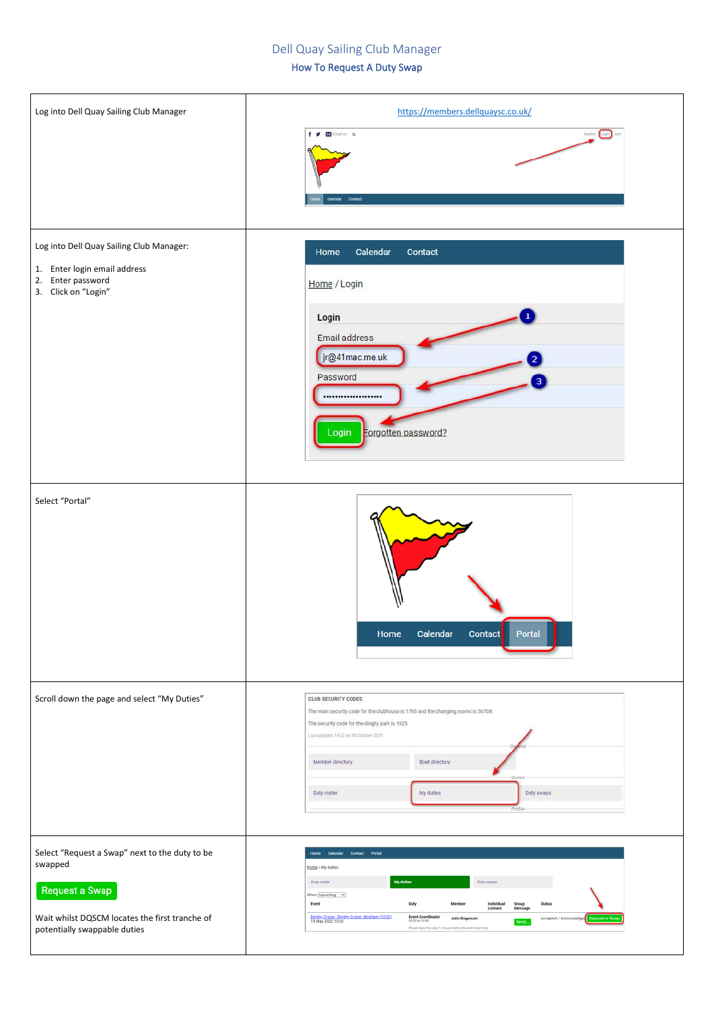## Dell Quay Sailing Club Manager

## How To Request A Duty Swap

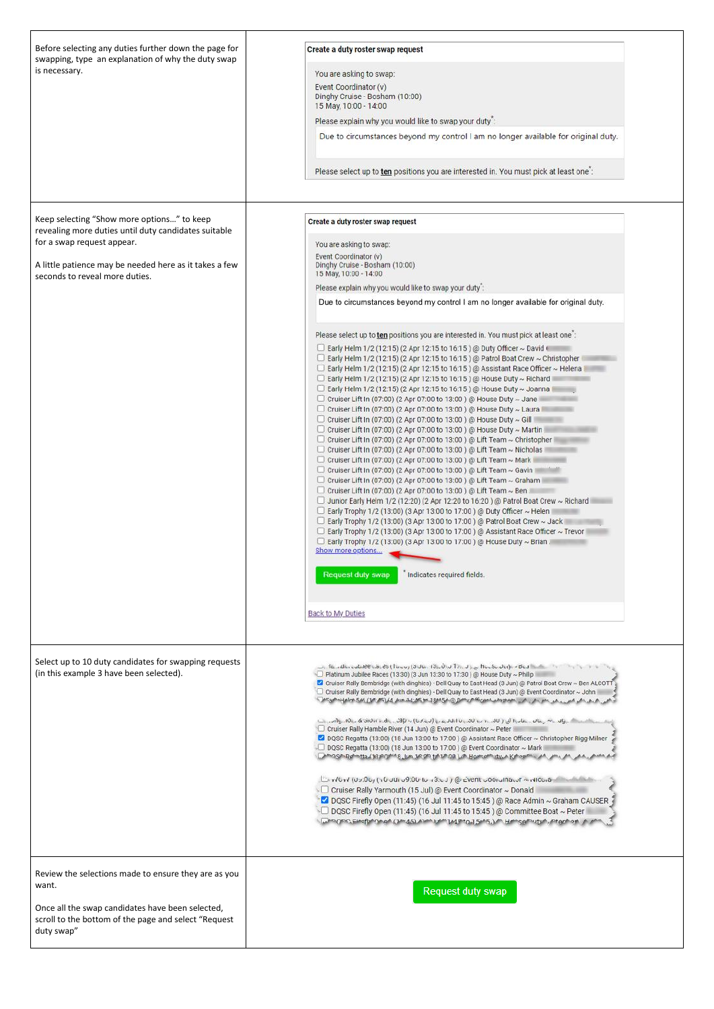| Before selecting any duties further down the page for<br>swapping, type an explanation of why the duty swap<br>is necessary.                                                                                                 | Create a duty roster swap request<br>You are asking to swap:<br>Event Coordinator (v)<br>Dinghy Cruise - Bosham (10:00)<br>15 May, 10:00 - 14:00<br>Please explain why you would like to swap your duty":<br>Due to circumstances beyond my control I am no longer available for original duty.<br>Please select up to ten positions you are interested in. You must pick at least one":                                                                                                                                                                                                                                                                                                                                                                                                                                                                                                                                                                                                                                                                                                                                                                                                                                                                                                                                                                                                                                                                                                                                                                                                                                                                                                                                  |
|------------------------------------------------------------------------------------------------------------------------------------------------------------------------------------------------------------------------------|---------------------------------------------------------------------------------------------------------------------------------------------------------------------------------------------------------------------------------------------------------------------------------------------------------------------------------------------------------------------------------------------------------------------------------------------------------------------------------------------------------------------------------------------------------------------------------------------------------------------------------------------------------------------------------------------------------------------------------------------------------------------------------------------------------------------------------------------------------------------------------------------------------------------------------------------------------------------------------------------------------------------------------------------------------------------------------------------------------------------------------------------------------------------------------------------------------------------------------------------------------------------------------------------------------------------------------------------------------------------------------------------------------------------------------------------------------------------------------------------------------------------------------------------------------------------------------------------------------------------------------------------------------------------------------------------------------------------------|
| Keep selecting "Show more options" to keep<br>revealing more duties until duty candidates suitable<br>for a swap request appear.<br>A little patience may be needed here as it takes a few<br>seconds to reveal more duties. | Create a duty roster swap request<br>You are asking to swap:<br>Event Coordinator (v)<br>Dinghy Cruise - Bosham (10:00)<br>15 May, 10:00 - 14:00<br>Please explain why you would like to swap your duty":<br>Due to circumstances beyond my control I am no longer available for original duty.                                                                                                                                                                                                                                                                                                                                                                                                                                                                                                                                                                                                                                                                                                                                                                                                                                                                                                                                                                                                                                                                                                                                                                                                                                                                                                                                                                                                                           |
|                                                                                                                                                                                                                              | Please select up to ten positions you are interested in. You must pick at least one:<br>Early Helm 1/2 (12:15) (2 Apr 12:15 to 16:15) @ Duty Officer ~ David<br>Early Helm 1/2 (12:15) (2 Apr 12:15 to 16:15) @ Patrol Boat Crew ~ Christopher<br>Early Helm 1/2 (12:15) (2 Apr 12:15 to 16:15) @ Assistant Race Officer ~ Helena<br>Early Helm 1/2 (12:15) (2 Apr 12:15 to 16:15) @ House Duty ~ Richard<br>Early Helm 1/2 (12:15) (2 Apr 12:15 to 16:15) @ House Duty ~ Joanna<br>Cruiser Lift In (07:00) (2 Apr 07:00 to 13:00) @ House Duty ~ Jane<br>Cruiser Lift In (07:00) (2 Apr 07:00 to 13:00) @ House Duty ~ Laura I<br>Cruiser Lift In (07:00) (2 Apr 07:00 to 13:00) @ House Duty ~ Gill I<br>Cruiser Lift In (07:00) (2 Apr 07:00 to 13:00) @ House Duty ~ Martin<br>Cruiser Lift In (07:00) (2 Apr 07:00 to 13:00) @ Lift Team ~ Christopher<br>Cruiser Lift In (07:00) (2 Apr 07:00 to 13:00) @ Lift Team ~ Nicholas<br>Cruiser Lift In (07:00) (2 Apr 07:00 to 13:00) @ Lift Team ~ Mark<br>Cruiser Lift In (07:00) (2 Apr 07:00 to 13:00) @ Lift Team ~ Gavin<br>Cruiser Lift In (07:00) (2 Apr 07:00 to 13:00) @ Lift Team ~ Graham<br>Cruiser Lift In (07:00) (2 Apr 07:00 to 13:00) @ Lift Team ~ Ben<br>Junior Early Helm 1/2 (12:20) (2 Apr 12:20 to 16:20) @ Patrol Boat Crew ~ Richard<br>Early Trophy 1/2 (13:00) (3 Apr 13:00 to 17:00) @ Duty Officer ~ Helen<br>Early Trophy 1/2 (13:00) (3 Apr 13:00 to 17:00) @ Patrol Boat Crew ~ Jack<br>$\Box$ Early Trophy 1/2 (13:00) (3 Apr 13:00 to 17:00) @ Assistant Race Officer ~ Trevor<br>Early Trophy 1/2 (13:00) (3 Apr 13:00 to 17:00) @ House Duty ~ Brian<br>Show more options<br><b>Request duty swap</b><br>Indicates required fields. |
|                                                                                                                                                                                                                              | <b>Back to My Duties</b>                                                                                                                                                                                                                                                                                                                                                                                                                                                                                                                                                                                                                                                                                                                                                                                                                                                                                                                                                                                                                                                                                                                                                                                                                                                                                                                                                                                                                                                                                                                                                                                                                                                                                                  |
| Select up to 10 duty candidates for swapping requests<br>(in this example 3 have been selected).                                                                                                                             | $\omega$ , 16. Allin cubildential ds (Tutor) (3Um, 13), 0, J Tri, J ), $\omega$ House July - Bed (Charles Company) and<br>Platinum Jubilee Races (13:30) (3 Jun 13:30 to 17:30) @ House Duty ~ Philip<br>C Cruiser Rally Bembridge (with dinghies) - Dell Quay to East Head (3 Jun) @ Patrol Boat Crew ~ Ben ALCOTT<br>C Cruiser Rally Bembridge (with dinghies) - Dell Quay to East Head (3 Jun) @ Event Coordinator ~ John<br>[المسابق: 10]  والمسابق التي ( 10]  وما كان القادر المسابق المسابق المسابق المسابق المسابق المسابق ال<br>Cruiser Rally Hamble River (14 Jun) @ Event Coordinator ~ Peter<br>2 DQSC Regatta (13:00) (18 Jun 13:00 to 17:00) @ Assistant Race Officer ~ Christopher Rigg-Milner<br>DQSC Regatta (13:00) (18 Jun 13:00 to 17:00) @ Event Coordinator ~ Mark<br>Chmoshipphitta/33/90/M18_lim.3P.0ft tof 17:08 )./hJpm.officty.vk/hopmi.juh.jm.juh.juh.juh.nik.k                                                                                                                                                                                                                                                                                                                                                                                                                                                                                                                                                                                                                                                                                                                                                                                                                               |

|                                                                                                                                                                                          | Birv/Gv/ (09:06) (10 JUI 09:00 to 13:03) @ cvent 000iuma.or < NICGa<br>Cruiser Rally Yarmouth (15 Jul) @ Event Coordinator ~ Donald<br>DQSC Firefly Open (11:45) (16 Jul 11:45 to 15:45) @ Race Admin ~ Graham CAUSER<br>$\Box$ DQSC Firefly Open (11:45) (16 Jul 11:45 to 15:45) @ Committee Boat $\sim$ Peter<br><b>Who one Eineful One of (14:45) Alas Julie 14 Prio 15:45, L.A. Hangelbutun, Prachari, A. John</b> |
|------------------------------------------------------------------------------------------------------------------------------------------------------------------------------------------|------------------------------------------------------------------------------------------------------------------------------------------------------------------------------------------------------------------------------------------------------------------------------------------------------------------------------------------------------------------------------------------------------------------------|
| Review the selections made to ensure they are as you<br>want.<br>Once all the swap candidates have been selected,<br>scroll to the bottom of the page and select "Request"<br>duty swap" | Request duty swap                                                                                                                                                                                                                                                                                                                                                                                                      |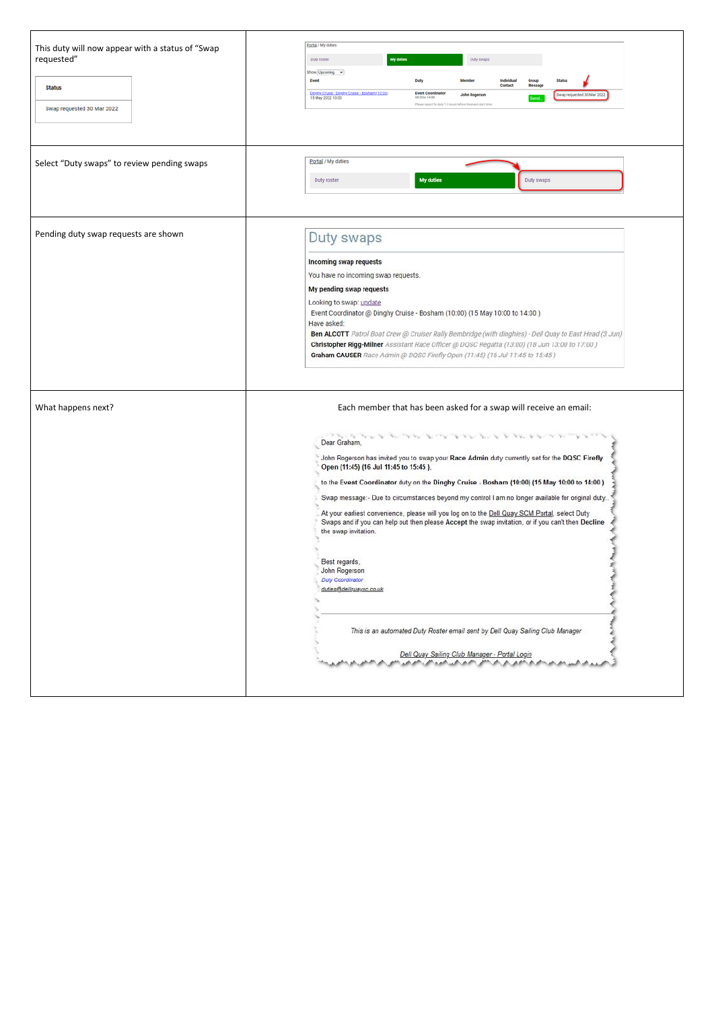| This duty will now appear with a status of "Swap<br>requested"<br><b>Status</b><br>Swap requested 30 Mar 2022 | Portal / My duties<br>My duties<br>Duty swaps<br>Duty roster<br>Show Upcoming v<br><b>Event</b><br>Duty<br>Individual<br>Group<br>Contact<br>Message<br>Dipoby Cruise : Dipoby Cruise - Bosham (10:00)<br><b>Event Coordinator</b><br>Swap requested 30 Mar 2022<br><b>John Rogerson</b><br>15 May 2022 10:00<br>08:30 to 14:00<br>Send.<br>Please report for duty 1.5 hours before the event start time.                                                                                                                                                                                                                                                                                                                                                                                                                                                                                                            |
|---------------------------------------------------------------------------------------------------------------|----------------------------------------------------------------------------------------------------------------------------------------------------------------------------------------------------------------------------------------------------------------------------------------------------------------------------------------------------------------------------------------------------------------------------------------------------------------------------------------------------------------------------------------------------------------------------------------------------------------------------------------------------------------------------------------------------------------------------------------------------------------------------------------------------------------------------------------------------------------------------------------------------------------------|
| Select "Duty swaps" to review pending swaps                                                                   | Portal / My duties<br>My duties<br>Duty swaps<br>Duty roster                                                                                                                                                                                                                                                                                                                                                                                                                                                                                                                                                                                                                                                                                                                                                                                                                                                         |
| Pending duty swap requests are shown                                                                          | Duty swaps<br>Incoming swap requests<br>You have no incoming swap requests.<br>My pending swap requests<br>Looking to swap: update<br>Event Coordinator @ Dinghy Cruise - Bosham (10:00) (15 May 10:00 to 14:00)<br>Have asked:<br>Ben ALCOTT Patrol Boat Crew @ Cruiser Rally Bembridge (with dinghies) - Dell Quay to East Head (3 Jun)<br>Christopher Rigg-Milner Assistant Race Officer @ DQSC Regatta (13:00) (18 Jun 13:00 to 17:00)<br>Graham CAUSER Race Admin @ DQSC Firefly Open (11:45) (16 Jul 11:45 to 15:45)                                                                                                                                                                                                                                                                                                                                                                                           |
| What happens next?                                                                                            | Each member that has been asked for a swap will receive an email:<br>アウト・マン マン マンマン アーマン アーマン アーマン・マン<br>Dear Graham,<br>John Rogerson has invited you to swap your Race Admin duty currently set for the DQSC Firefly<br>Open (11:45) (16 Jul 11:45 to 15:45).<br>to the Event Coordinator duty on the Dinghy Cruise - Bosham (10:00) (15 May 10:00 to 14:00)<br>Swap message:- Due to circumstances beyond my control I am no longer available for original duty<br>At your earliest convenience, please will you log on to the Dell Quay SCM Portal, select Duty<br>Swaps and if you can help out then please Accept the swap invitation, or if you can't then Decline<br>the swap invitation.<br>Best regards,<br>John Rogerson<br>Duty Coordinator<br>duties@dellquaysc.co.uk<br>This is an automated Duty Roster email sent by Dell Quay Sailing Club Manager<br>Dell Quay Sailing Club Manager - Portal Login |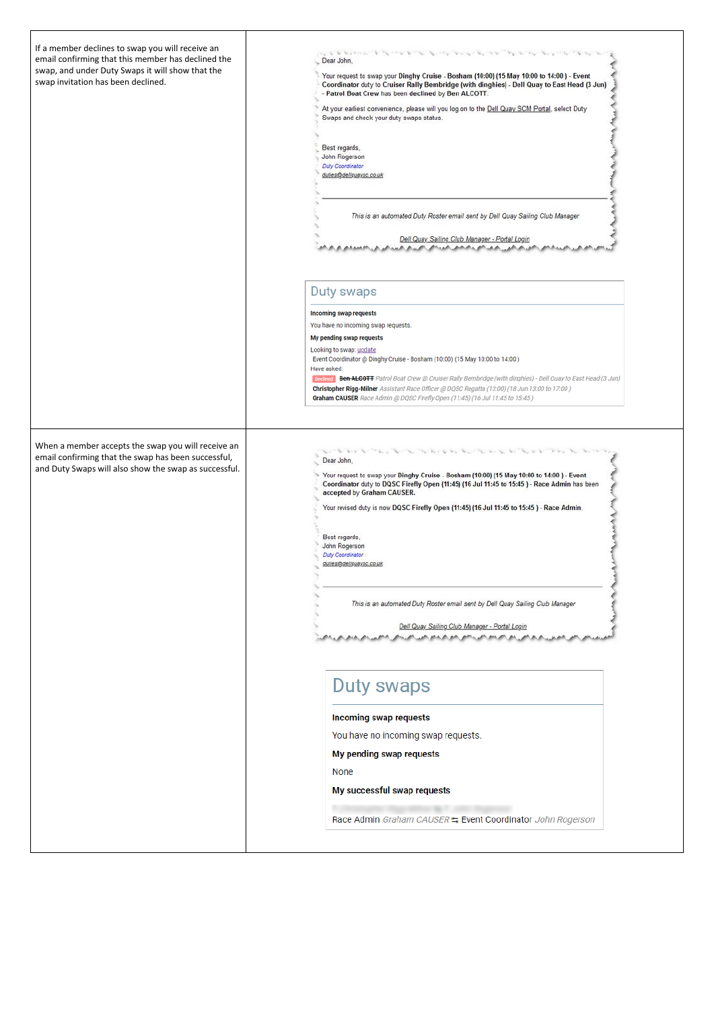| If a member declines to swap you will receive an<br>email confirming that this member has declined the<br>swap, and under Duty Swaps it will show that the<br>swap invitation has been declined. | and the base of the first term of the state of the state of the base of the state of the state of the state of<br>Dear John,<br>Your request to swap your Dinghy Cruise - Bosham (10:00) (15 May 10:00 to 14:00) - Event<br>Coordinator duty to Cruiser Rally Bembridge (with dinghies) - Dell Quay to East Head (3 Jun)<br>- Patrol Boat Crew has been declined by Ben ALCOTT.<br>At your earliest convenience, please will you log on to the Dell Quay SCM Portal, select Duty<br>Swaps and check your duty swaps status.<br>Best regards,<br>John Rogerson<br>Duty Coordinator<br>duties@dellquaysc.co.uk<br>This is an automated Duty Roster email sent by Dell Quay Sailing Club Manager |
|--------------------------------------------------------------------------------------------------------------------------------------------------------------------------------------------------|-----------------------------------------------------------------------------------------------------------------------------------------------------------------------------------------------------------------------------------------------------------------------------------------------------------------------------------------------------------------------------------------------------------------------------------------------------------------------------------------------------------------------------------------------------------------------------------------------------------------------------------------------------------------------------------------------|
|                                                                                                                                                                                                  | Dell Quay Sailing Club Manager - Portal Login                                                                                                                                                                                                                                                                                                                                                                                                                                                                                                                                                                                                                                                 |
|                                                                                                                                                                                                  | راشان والتراقي والتورد الدائني والتوريخي والدعور بالدعور التوريخ والترويح والمرود المراقي والتحديد التراقي المراكب                                                                                                                                                                                                                                                                                                                                                                                                                                                                                                                                                                            |
|                                                                                                                                                                                                  | Duty swaps                                                                                                                                                                                                                                                                                                                                                                                                                                                                                                                                                                                                                                                                                    |
|                                                                                                                                                                                                  | <b>Incoming swap requests</b>                                                                                                                                                                                                                                                                                                                                                                                                                                                                                                                                                                                                                                                                 |
|                                                                                                                                                                                                  | You have no incoming swap requests.<br>My pending swap requests                                                                                                                                                                                                                                                                                                                                                                                                                                                                                                                                                                                                                               |
|                                                                                                                                                                                                  | Looking to swap: update                                                                                                                                                                                                                                                                                                                                                                                                                                                                                                                                                                                                                                                                       |
|                                                                                                                                                                                                  | Event Coordinator @ Dinghy Cruise - Bosham (10:00) (15 May 10:00 to 14:00)<br>Have asked:                                                                                                                                                                                                                                                                                                                                                                                                                                                                                                                                                                                                     |
|                                                                                                                                                                                                  | Declined Ben-ALCOTT Patrol Boat Crew @ Cruiser Rally Bembridge (with dinghies) - Dell Quay to East Head (3 Jun)<br>Christopher Rigg-Milner Assistant Race Officer @ DQSC Regatta (13:00) (18 Jun 13:00 to 17:00)<br>Graham CAUSER Race Admin @ DQSC Firefly Open (11:45) (16 Jul 11:45 to 15:45)                                                                                                                                                                                                                                                                                                                                                                                              |
| When a member accepts the swap you will receive an<br>email confirming that the swap has been successful,<br>and Duty Swaps will also show the swap as successful.                               | the second that the second control of the second that the second control the second control that the second control of the second control of the second control of the second control of the second control of the second cont<br>Dear John,                                                                                                                                                                                                                                                                                                                                                                                                                                                  |
|                                                                                                                                                                                                  | Your request to swap your Dinghy Cruise - Bosham (10:00) (15 May 10:00 to 14:00 ) - Event<br>Coordinator duty to DQSC Firefly Open (11:45) (16 Jul 11:45 to 15:45) - Race Admin has been<br>accepted by Graham CAUSER.                                                                                                                                                                                                                                                                                                                                                                                                                                                                        |
|                                                                                                                                                                                                  | Your revised duty is now DQSC Firefly Open (11:45) (16 Jul 11:45 to 15:45) - Race Admin.                                                                                                                                                                                                                                                                                                                                                                                                                                                                                                                                                                                                      |
|                                                                                                                                                                                                  | Best regards.                                                                                                                                                                                                                                                                                                                                                                                                                                                                                                                                                                                                                                                                                 |
|                                                                                                                                                                                                  | John Rogerson<br>Duty Coordinator                                                                                                                                                                                                                                                                                                                                                                                                                                                                                                                                                                                                                                                             |
|                                                                                                                                                                                                  | duties@dellquaysc.co.uk                                                                                                                                                                                                                                                                                                                                                                                                                                                                                                                                                                                                                                                                       |
|                                                                                                                                                                                                  | This is an automated Duty Roster email sent by Dell Quay Sailing Club Manager                                                                                                                                                                                                                                                                                                                                                                                                                                                                                                                                                                                                                 |
|                                                                                                                                                                                                  | Dell Quay Sailing Club Manager - Portal Login                                                                                                                                                                                                                                                                                                                                                                                                                                                                                                                                                                                                                                                 |
|                                                                                                                                                                                                  |                                                                                                                                                                                                                                                                                                                                                                                                                                                                                                                                                                                                                                                                                               |
|                                                                                                                                                                                                  | Duty swaps                                                                                                                                                                                                                                                                                                                                                                                                                                                                                                                                                                                                                                                                                    |
|                                                                                                                                                                                                  | Incoming swap requests                                                                                                                                                                                                                                                                                                                                                                                                                                                                                                                                                                                                                                                                        |
|                                                                                                                                                                                                  | You have no incoming swap requests.                                                                                                                                                                                                                                                                                                                                                                                                                                                                                                                                                                                                                                                           |
|                                                                                                                                                                                                  |                                                                                                                                                                                                                                                                                                                                                                                                                                                                                                                                                                                                                                                                                               |

My pending swap requests

|  | None                                                                                            |
|--|-------------------------------------------------------------------------------------------------|
|  | My successful swap requests                                                                     |
|  | the control of the control of the<br>Race Admin Graham CAUSER 5 Event Coordinator John Rogerson |
|  |                                                                                                 |